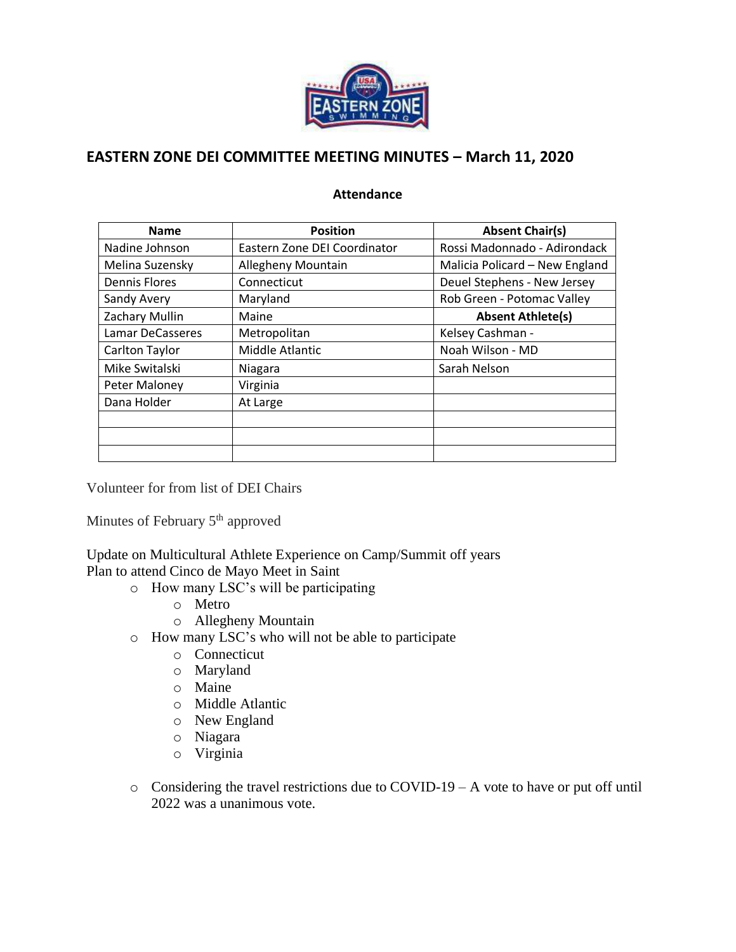

## **EASTERN ZONE DEI COMMITTEE MEETING MINUTES – March 11, 2020**

## **Attendance**

| <b>Name</b>          | <b>Position</b>              | <b>Absent Chair(s)</b>         |
|----------------------|------------------------------|--------------------------------|
| Nadine Johnson       | Eastern Zone DEI Coordinator | Rossi Madonnado - Adirondack   |
| Melina Suzensky      | Allegheny Mountain           | Malicia Policard - New England |
| <b>Dennis Flores</b> | Connecticut                  | Deuel Stephens - New Jersey    |
| Sandy Avery          | Maryland                     | Rob Green - Potomac Valley     |
| Zachary Mullin       | Maine                        | <b>Absent Athlete(s)</b>       |
| Lamar DeCasseres     | Metropolitan                 | Kelsey Cashman -               |
| Carlton Taylor       | Middle Atlantic              | Noah Wilson - MD               |
| Mike Switalski       | Niagara                      | Sarah Nelson                   |
| Peter Maloney        | Virginia                     |                                |
| Dana Holder          | At Large                     |                                |
|                      |                              |                                |
|                      |                              |                                |
|                      |                              |                                |

Volunteer for from list of DEI Chairs

Minutes of February 5<sup>th</sup> approved

Update on Multicultural Athlete Experience on Camp/Summit off years Plan to attend Cinco de Mayo Meet in Saint

- o How many LSC's will be participating
	- o Metro
	- o Allegheny Mountain
- o How many LSC's who will not be able to participate
	- o Connecticut
	- o Maryland
	- o Maine
	- o Middle Atlantic
	- o New England
	- o Niagara
	- o Virginia
- o Considering the travel restrictions due to COVID-19 A vote to have or put off until 2022 was a unanimous vote.